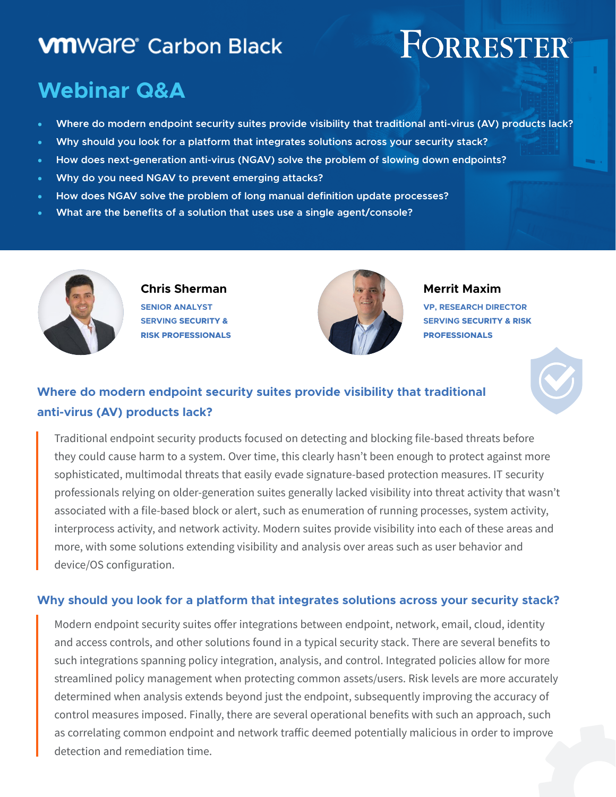## **VM**Ware<sup>®</sup> Carbon Black

# FORRESTER®

## **Webinar Q&A**

- **Where do modern endpoint security suites provide visibility that traditional anti-virus (AV) products lack?**
- **Why should you look for a platform that integrates solutions across your security stack?**
- **How does next-generation anti-virus (NGAV) solve the problem of slowing down endpoints?**
- **Why do you need NGAV to prevent emerging attacks?**
- **How does NGAV solve the problem of long manual definition update processes?**
- **What are the benefits of a solution that uses use a single agent/console?**



**Chris Sherman SENIOR ANALYST SERVING SECURITY & RISK PROFESSIONALS**



**Merrit Maxim**

**VP, RESEARCH DIRECTOR SERVING SECURITY & RISK PROFESSIONALS**



### **Where do modern endpoint security suites provide visibility that traditional anti-virus (AV) products lack?**

Traditional endpoint security products focused on detecting and blocking file-based threats before they could cause harm to a system. Over time, this clearly hasn't been enough to protect against more sophisticated, multimodal threats that easily evade signature-based protection measures. IT security professionals relying on older-generation suites generally lacked visibility into threat activity that wasn't associated with a file-based block or alert, such as enumeration of running processes, system activity, interprocess activity, and network activity. Modern suites provide visibility into each of these areas and more, with some solutions extending visibility and analysis over areas such as user behavior and device/OS configuration.

#### **Why should you look for a platform that integrates solutions across your security stack?**

Modern endpoint security suites offer integrations between endpoint, network, email, cloud, identity and access controls, and other solutions found in a typical security stack. There are several benefits to such integrations spanning policy integration, analysis, and control. Integrated policies allow for more streamlined policy management when protecting common assets/users. Risk levels are more accurately determined when analysis extends beyond just the endpoint, subsequently improving the accuracy of control measures imposed. Finally, there are several operational benefits with such an approach, such as correlating common endpoint and network traffic deemed potentially malicious in order to improve detection and remediation time.